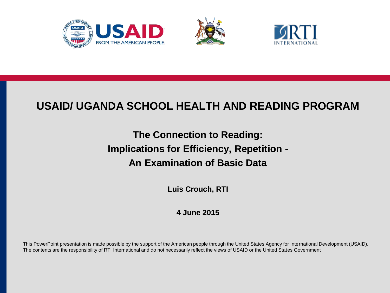





#### **USAID/ UGANDA SCHOOL HEALTH AND READING PROGRAM**

#### **The Connection to Reading: Implications for Efficiency, Repetition - An Examination of Basic Data**

**Luis Crouch, RTI**

**4 June 2015**

This PowerPoint presentation is made possible by the support of the American people through the United States Agency for International Development (USAID). The contents are the responsibility of RTI International and do not necessarily reflect the views of USAID or the United States Government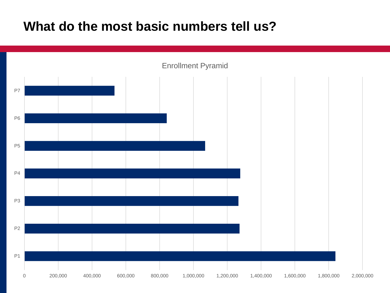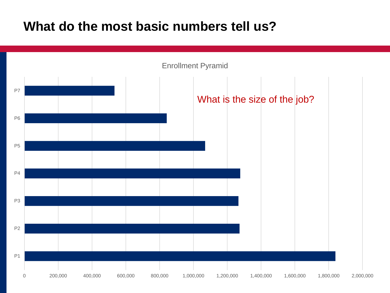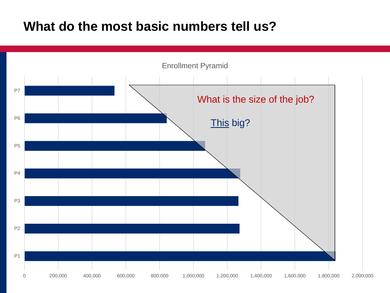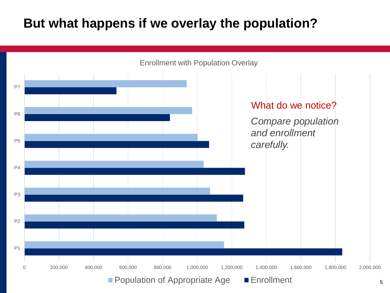## **But what happens if we overlay the population?**

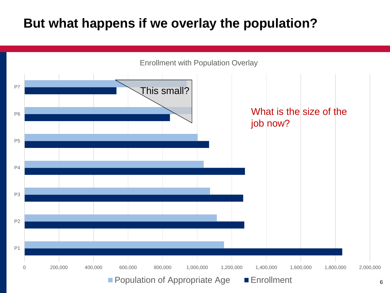## **But what happens if we overlay the population?**

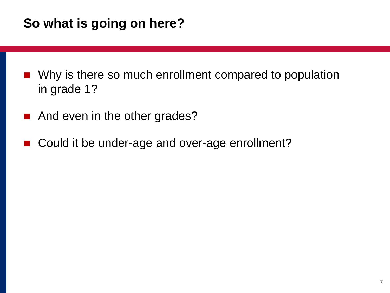# **So what is going on here?**

- Why is there so much enrollment compared to population in grade 1?
- And even in the other grades?
- Could it be under-age and over-age enrollment?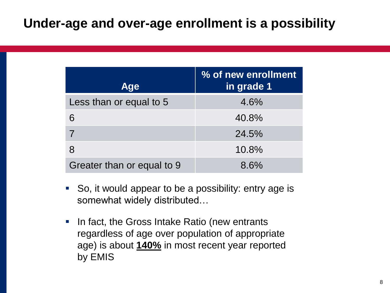| <b>Age</b>                 | % of new enrollment<br>in grade 1 |  |
|----------------------------|-----------------------------------|--|
| Less than or equal to 5    | 4.6%                              |  |
| 6                          | 40.8%                             |  |
|                            | 24.5%                             |  |
| 8                          | 10.8%                             |  |
| Greater than or equal to 9 | 8.6%                              |  |

- So, it would appear to be a possibility: entry age is somewhat widely distributed…
- **IF In fact, the Gross Intake Ratio (new entrants)** regardless of age over population of appropriate age) is about **140%** in most recent year reported by EMIS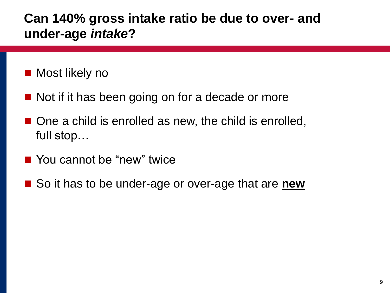## **Can 140% gross intake ratio be due to over- and under-age** *intake***?**

### **Most likely no**

- Not if it has been going on for a decade or more
- One a child is enrolled as new, the child is enrolled, full stop…
- You cannot be "new" twice
- So it has to be under-age or over-age that are **new**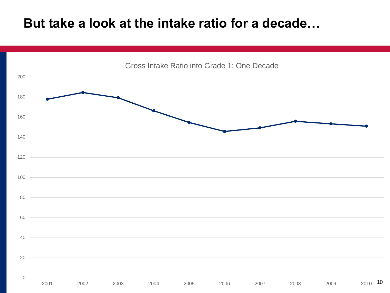### **But take a look at the intake ratio for a decade…**

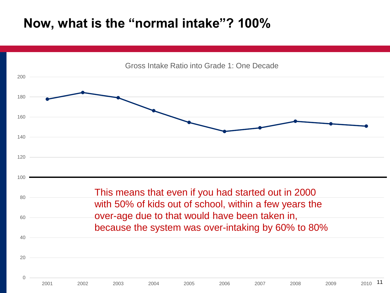### **Now, what is the "normal intake"? 100%**

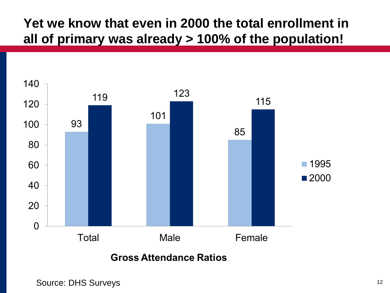# **Yet we know that even in 2000 the total enrollment in all of primary was already > 100% of the population!**

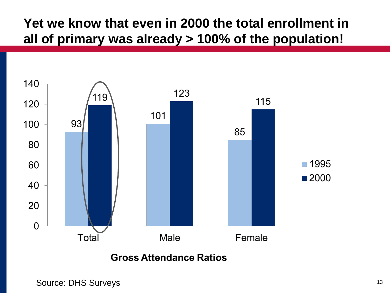# **Yet we know that even in 2000 the total enrollment in all of primary was already > 100% of the population!**

![](_page_12_Figure_1.jpeg)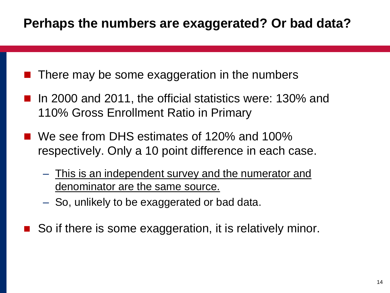There may be some exaggeration in the numbers

- In 2000 and 2011, the official statistics were: 130% and 110% Gross Enrollment Ratio in Primary
- We see from DHS estimates of 120% and 100% respectively. Only a 10 point difference in each case.
	- This is an independent survey and the numerator and denominator are the same source.
	- So, unlikely to be exaggerated or bad data.
- So if there is some exaggeration, it is relatively minor.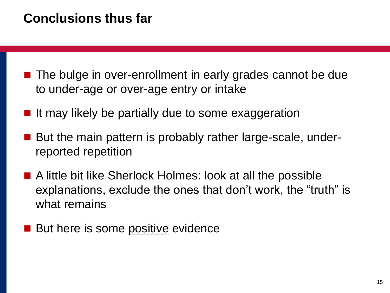## **Conclusions thus far**

- The bulge in over-enrollment in early grades cannot be due to under-age or over-age entry or intake
- If may likely be partially due to some exaggeration
- But the main pattern is probably rather large-scale, underreported repetition
- A little bit like Sherlock Holmes: look at all the possible explanations, exclude the ones that don't work, the "truth" is what remains
- But here is some <u>positive</u> evidence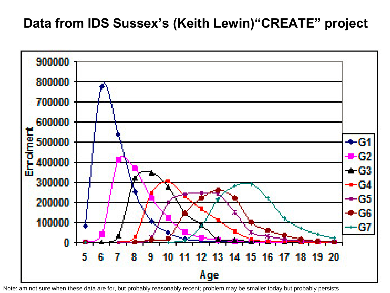## **Data from IDS Sussex's (Keith Lewin)"CREATE" project**

![](_page_15_Figure_1.jpeg)

Note: am not sure when these data are for, but probably reasonably recent; problem may be smaller today but probably persists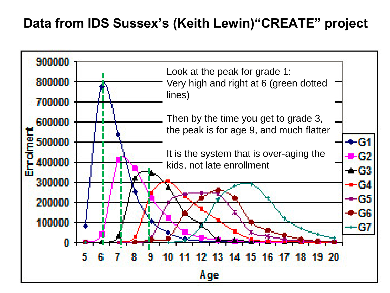## **Data from IDS Sussex's (Keith Lewin)"CREATE" project**

![](_page_16_Figure_1.jpeg)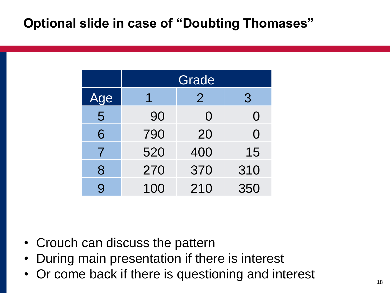|     | Grade |                |          |
|-----|-------|----------------|----------|
| Age | 1     | $\overline{2}$ | 3        |
| 5   | 90    | $\Omega$       | $\Omega$ |
| 6   | 790   | 20             | $\Omega$ |
| 7   | 520   | 400            | 15       |
| 8   | 270   | 370            | 310      |
| 9   | 100   | 210            | 350      |

- Crouch can discuss the pattern
- During main presentation if there is interest
- Or come back if there is questioning and interest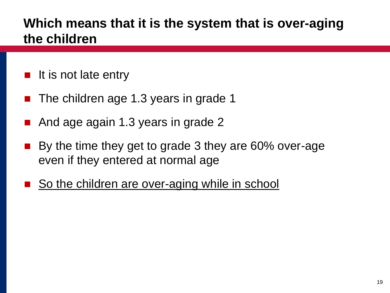## **Which means that it is the system that is over-aging the children**

- It is not late entry
- The children age 1.3 years in grade 1
- And age again 1.3 years in grade 2
- By the time they get to grade 3 they are 60% over-age even if they entered at normal age
- So the children are over-aging while in school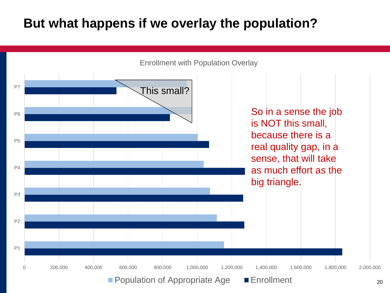## **But what happens if we overlay the population?**

![](_page_19_Figure_1.jpeg)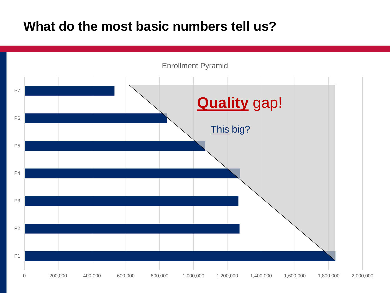![](_page_20_Figure_1.jpeg)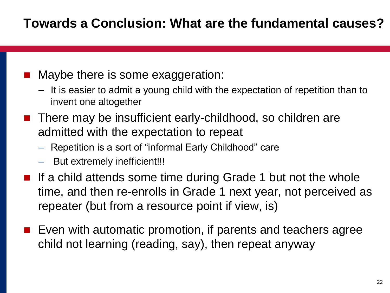## **Towards a Conclusion: What are the fundamental causes?**

- Maybe there is some exaggeration:
	- It is easier to admit a young child with the expectation of repetition than to invent one altogether
- **There may be insufficient early-childhood, so children are** admitted with the expectation to repeat
	- Repetition is a sort of "informal Early Childhood" care
	- But extremely inefficient!!!
- If a child attends some time during Grade 1 but not the whole time, and then re-enrolls in Grade 1 next year, not perceived as repeater (but from a resource point if view, is)
- Even with automatic promotion, if parents and teachers agree child not learning (reading, say), then repeat anyway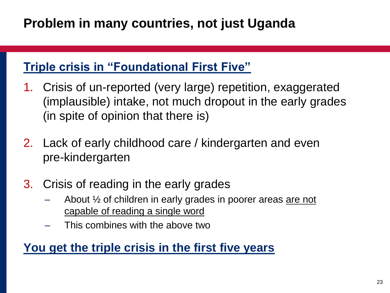## **Problem in many countries, not just Uganda**

### **Triple crisis in "Foundational First Five"**

- 1. Crisis of un-reported (very large) repetition, exaggerated (implausible) intake, not much dropout in the early grades (in spite of opinion that there is)
- 2. Lack of early childhood care / kindergarten and even pre-kindergarten
- 3. Crisis of reading in the early grades
	- About  $\frac{1}{2}$  of children in early grades in poorer areas are not capable of reading a single word
	- This combines with the above two

#### **You get the triple crisis in the first five years**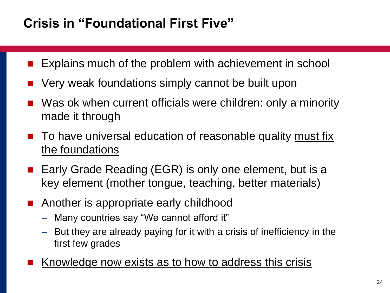# **Crisis in "Foundational First Five"**

- **Explains much of the problem with achievement in school**
- Very weak foundations simply cannot be built upon
- Was ok when current officials were children: only a minority made it through
- To have universal education of reasonable quality must fix the foundations
- Early Grade Reading (EGR) is only one element, but is a key element (mother tongue, teaching, better materials)
- **Another is appropriate early childhood** 
	- Many countries say "We cannot afford it"
	- But they are already paying for it with a crisis of inefficiency in the first few grades
- Knowledge now exists as to how to address this crisis